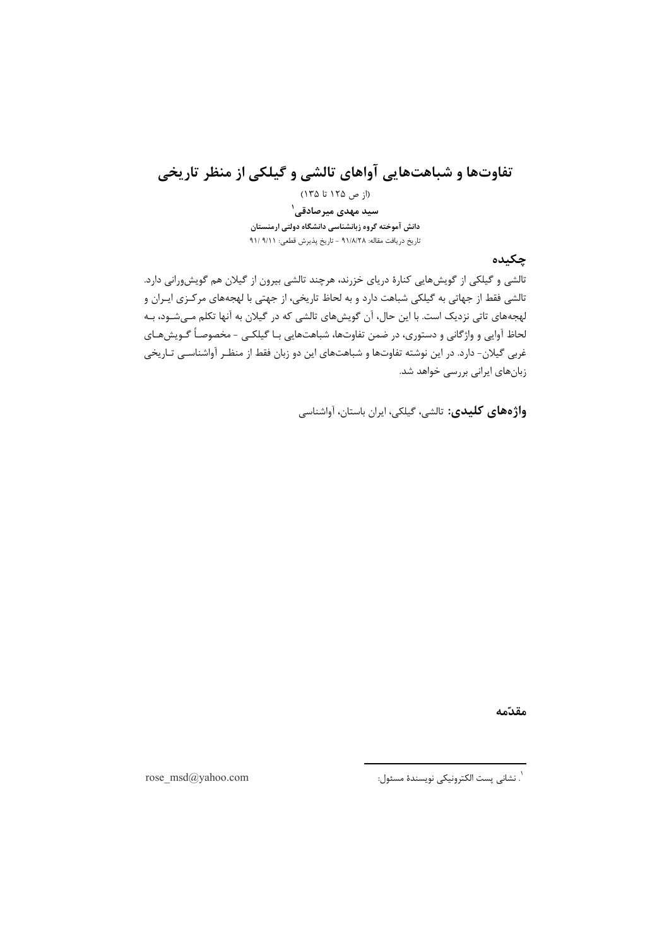# تفاوتها و شباهتهایی آواهای تالشی و گیلکی از منظر تاریخی

(از ص ۱۲۵ تا ۱۳۵) سید مهدی میر *ص*ادقے <sup>۱</sup> دانش آموخته گروه زبانشناسی دانشگاه دولتی ارمنستان تاريخ دريافت مقاله: ٩١/٨/٢٨ - تاريخ پذيرش قطعي: ٩١/ ٩١/

## چکیده

تالشی و گیلکی از گویشهایی کنارهٔ دریای خزرند، هرچند تالشی بیرون از گیلان هم گویشورانی دارد. تالشی فقط از جهاتی به گیلکی شباهت دارد و به لحاظ تاریخی، از جهتی با لهجههای مرکـزی ایـران و لهجههای تاتی نزدیک است. با این حال، آن گویشهای تالشی که در گیلان به آنها تکلم مـی.شــود، بـه لحاظ آوایی و واژگانی و دستوری، در ضمن تفاوتها، شباهتهایی بـا گیلکـی - مخصوصـاً گـویش&ـای غربی گیلان- دارد. در این نوشته تفاوتها و شباهتهای این دو زبان فقط از منظـر آواشناسـی تـاریخی زبانهای ایرانی بررسی خواهد شد.

واژەهای کلیدی: تالشی، گیلکی، ایران باستان، آواشناسی

مقدّمه

`. نشانى پست الكترونيكى نويسندهٔ مسئول:

rose\_msd@yahoo.com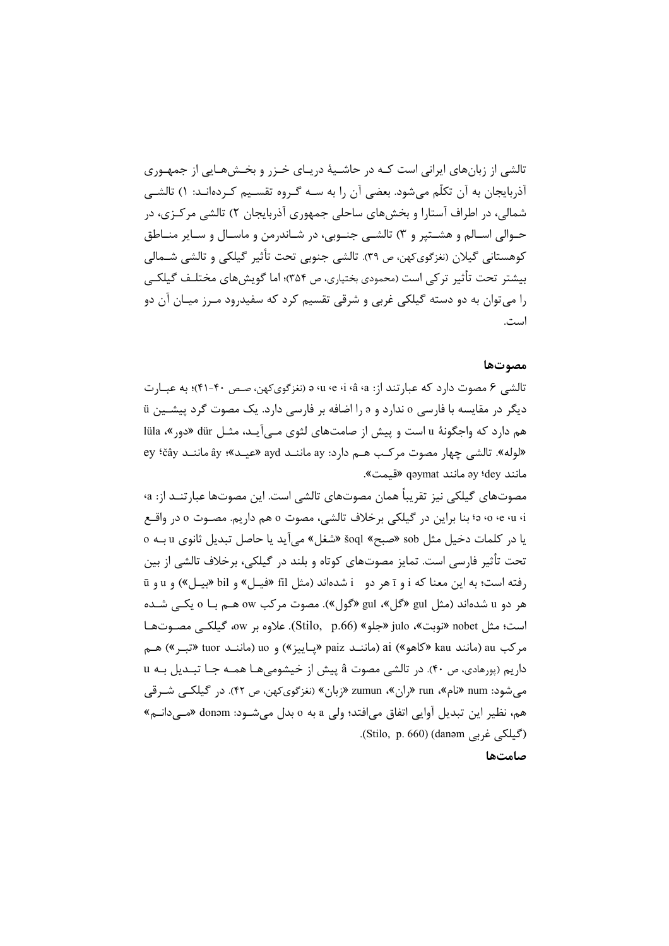تالشی از زبانهای ایرانی است کـه در حاشـیهٔ دریـای خـزر و بخـشهـایی از جمهـوری آذربایجان به آن تکلّم می شود. بعضی آن را به سـه گـروه تقسـیم کـردهانـد: ۱) تالشـی شمالی، در اطراف آستارا و بخشهای ساحلی جمهوری آذربایجان ۲) تالشی مرکـزی، در حـوالي اسـالم و هشـتير و ٣) تالشـي جنـوبي، در شـاندرمن و ماسـال و سـاير منـاطق کوهستانی گیلان (نغزگویکهن، ص ۳۹). تالشی جنوبی تحت تأثیر گیلکی و تالشی شــمالی بیشتر تحت تأثیر ترکی است (محمودی بختیاری، ص ۳۵۴)؛ اما گویش۵های مختلـف گیلکـی را میتوان به دو دسته گیلکی غربی و شرقی تقسیم کرد که سفیدرود مـرز میـان آن دو است.

#### مصوتها

تالشي ۶ مصوت دارد كه عبارتند از: a ‹u ‹e ‹i ‹â ‹a (نغزگويكهن، صص ۴۰-۴۱)؛ به عبــارت دیگر در مقایسه با فارسی o ندارد و s را اضافه بر فارسی دارد. یک مصوت گرد پیشـین ü هم دارد که واجگونهٔ u است و پیش از صامتهای لثوی مـی آیـد، مثـل dür «دور »، lüla «لوله». تالشي چهار مصوت مركب هـم دارد: ay ماننـد ayd «عيـد»؛ ây ماننـد ey 'čây مانند ay (dey مانند gəymat «قيمت».

مصوتهای گیلکی نیز تقریباً همان مصوتهای تالشی است. این مصوتها عبارتنــد از: a، ə o e u i ؛ بنا براين در گيلكي برخلاف تالشي، مصوت o هم داريم. مصـوت o در واقـع يا در كلمات دخيل مثل sob «صبح» soql «شغل» مي آيد يا حاصل تبديل ثانوي u بـه o تحت تأثير فارسي است. تمايز مصوتهاي كوتاه و بلند در گيلكي، برخلاف تالشي از بين رفته است؛ به این معنا که i و ī هر دو i شدهاند (مثل fil «فیـل» و bil «بیـل») و u و ū هر دو u شدهاند (مثل gul «گل»، gul «گول»). مصوت مرکب ow هـم بـا o یکـی شـده است؛ مثل nobet «نوبت»، julo «جلو» (Stilo, p.66). علاوه بر ow، گیلکے مصـوتهـا مركب au (مانند kau «كاهو») ai (ماننـد paiz «يـاييز») و uo (ماننـد tuor «تبـر») هـم داريم (پورهادي، ص ۴۰). در تالشي مصوت â پيش از خيشومي هـا همـه جـا تبـديل بـه u مي شود: num «نام»، run «ران»، zumun «زبان» (نغزگوي کهن، ص ۴۲). در گيلکــي شــرقي هم، نظير اين تبديل آوايي اتفاق مي|فتد؛ ولي a به o بدل ميشــود: donəm «مــيدانــم» (گیلکی غربی Stilo, p. 660) (danəm).

صامتها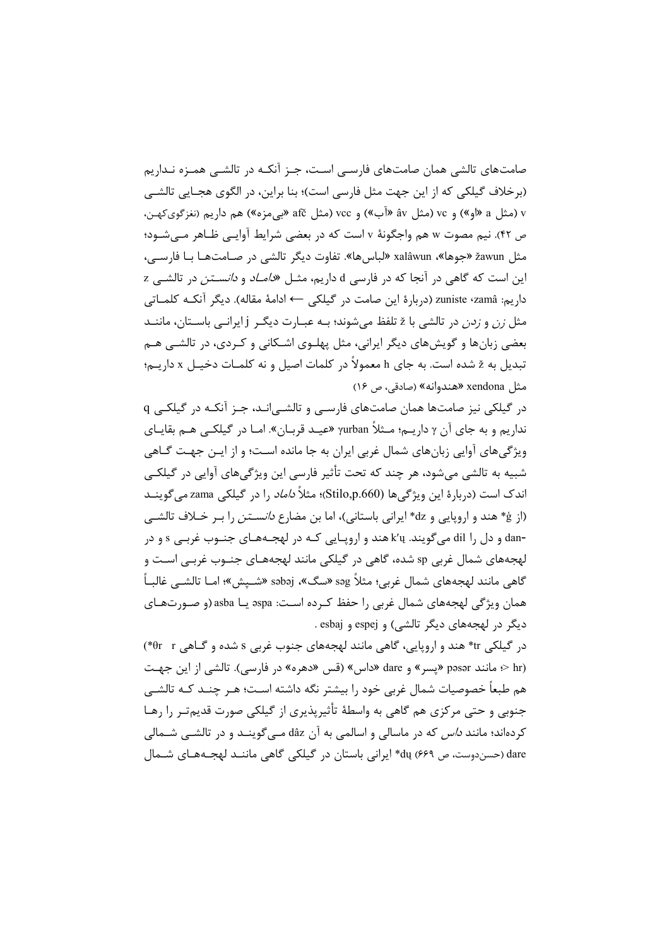صامتهای تالشی همان صامتهای فارسـی اسـت، جـز آنکـه در تالشـی همـزه نـداریم (برخلاف گیلکی که از این جهت مثل فارسی است)؛ بنا براین، در الگوی هجـایی تالشـی v (مثل a «او») و vc (مثل âv «آب») و vcc (مثل afč «بی.مزه») هم داریم (نغزگویکهن، ص ۴۲). نیم مصوت w هم واجگونهٔ v است که در بعضی شرایط آوایـی ظـاهر مـیشـود؛ مثل žawun «جوها»، xalâwun «لباسها». تفاوت ديگر تالشي در صـامتهـا بـا فارسـي، این است که گاهی در آنجا که در فارسی d داریم، مثـل «*دامـاد* و *دانسـتن د*ر تالشـی z داريم: zuniste ‹zamâ (دربارهٔ اين صامت در گيلكي ← ادامهٔ مقاله). ديگر آنكـه كلمـاتي مثل *زن و زدن* در تالشی با ž تلفظ میشوند؛ بـه عبـارت دیگـر j ایرانـی باسـتان، ماننــد بعضی زبانها و گویشهای دیگر ایرانی، مثل پهلـوی اشـکانی و کـردی، در تالشـی هـم تبدیل به ž شده است. به جای h معمولاً در کلمات اصیل و نه کلمـات دخیـل x داریـم؛ مثل xendona «هندوانه» (صادقی، ص ١۶)

در گیلکی نیز صامتها همان صامتهای فارسے<sub>، و</sub> تالشے انـد، جـز آنکـه در گیلکـی q نداریم و به جای آن γ داریـم؛ مـثلاً γurban «عیـد قربـان». امـا در گیلکـی هـم بقایـای ویژگیهای آوایی زبانهای شمال غربی ایران به جا مانده است؛ و از ایـن جهـت گــاهی شبیه به تالشی میشود، هر چند که تحت تأثیر فارسی این ویژگیهای آوایی در گیلکـی اندک است (دربارۂ این ویژگی ها (Stilo,p.660)؛ مثلاً *داماد* را در گیلکی zama می *گ*وینــد (از ڠ\* هند و اروپایی و dz\* ایرانی باستانی)، اما بن مضارع *دانسـتن* را بـر خـلاف تالشـی -dan و دل را dil مي گويند. k′u هند و اروپـايي كـه در لهجـههـاي جنـوب غربـي s و در لهجههای شمال غربی sp شده، گاهی در گیلکی مانند لهجههـای جنـوب غربـی اسـت و گاهي مانند لهجههاي شمال غربي؛ مثلاً səg «سگ»، səbəj «شـيش»؛ امــا تالشــي غالبــاً همان ویژگی لهجههای شمال غربی را حفظ کـرده اسـت: 9spa یــا asba (و صــورتهـای دیگر در لهجههای دیگر تالشی) و espej و esbaj.

در گیلکی tr\* هند و اروپایی، گاهی مانند لهجههای جنوب غربی s شده و گـاهی θr x (\*) hr) < مانند pəsər «پسر» و dare «داس» (قس «دهره» در فارسی). تالشی از این جهت هم طبعاً خصوصیات شمال غربی خود را بیشتر نگه داشته اسـت؛ هـر چنـد کـه تالشــ ، جنوبی و حتی مرکزی هم گاهی به واسطهٔ تأثیرپذیری از گیلکی صورت قدیمتـر را رهـا کردهاند؛ مانند *داس* که در ماسالی و اسالمی به آن dâz مـی¢وینــد و در تالشــی شــمالی dare (حسندوست، ص ۶۶۹) du\* ایرانی باستان در گیلکی گاهی ماننـد لهجـههـای شــمال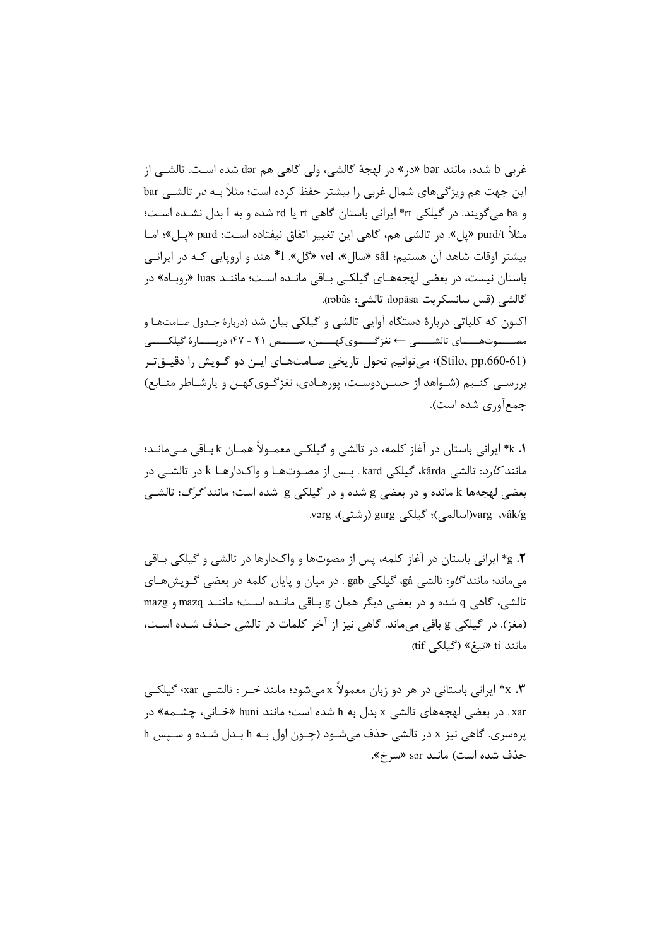غربي b شده، مانند bor «در» در لهجهٔ گالشي، ولي گاهي هم dər شده است. تالشــي از این جهت هم ویژگیهای شمال غربی را بیشتر حفظ کرده است؛ مثلاً بــه *در* تالشــی bar و ba میگویند. در گیلکی rt\* ایرانی باستان گاهی rd یا rd شده و به l بدل نشده است؛ مثلاً purd/t «پل». در تالشي هم، گاهي اين تغيير اتفاق نيفتاده است: pard «پـل»؛ امــا بیشتر اوقات شاهد آن هستیم؛ sâl «سال»، vel «گل». 1\* هند و اروپایی کـه در ایرانـی باستان نیست، در بعضی لهجههـای گیلکـی بـاقی مانـده اسـت؛ ماننـد luas «روبـاه» در گالشي (قس سانسكريت lopāsa؛ تالشي: rəbâs). اکنون که کلیاتی دربارهٔ دستگاه آوایی تالشی و گیلکی بیان شد (دربارهٔ جدول صامتهـا و

مصــــوتهــــاى تالشــــى ← نغزگـــــوىكهـــــن، صــــص ۴۱ - ۴۷؛ دربــــارهٔ گیلكــــى (Stilo, pp.660-61)، می توانیم تحول تاریخی صـامتهـای ایــن دو گــویش را دقیــق تـر بررسـی کنـیم (شـواهد از حسـندوسـت، پورهـادی، نغزگـویکهـن و پارشـاطر منـابع) جمع[ّوری شده است).

1. k\* ایرانی باستان در آغاز کلمه، در تالشی و گیلکـی معمـولاً همـان k بـاقی مـی،مانـد؛ مانند *کارد*: تالشي kârda، گيلکي kard . پـس از مصـوتهـا و واک1دارهـا k در تالشـي در بعضی لهجهها k مانده و در بعضی g شده و در گیلکی g شده است؛ مانند *گرگ*: تالشـی varg ،vâk/g(اسالمي)؛ گیلکی gurg (رشتی)، vərg.

g .**۲** ایرانی باستان در آغاز کلمه، پس از مصوتها و واکدارها در تالشی و گیلکی بـاقی میماند؛ مانند گلو: تالشی gâ، گیلکی gab . در میان و پایان کلمه در بعضی گـویشهـای تالشي، گاهي q شده و در بعضي ديگر همان g بـاقي مانـده اسـت؛ ماننـد mazq و mazg (مغز). در گیلکی g باقی میماند. گاهی نیز از آخر کلمات در تالشی حـذف شـده اسـت، مانند ti «تيغ» (گيلكى tif)

۰**.** x\* ایرانی باستانی در هر دو زبان معمولاً x میشود؛ مانند *خـر* : تالشـی xar، گیلکـی xar . در بعضی لهجههای تالشی x بدل به h شده است؛ مانند huni «خـانی، چشــمه» در پرهسري. گاهي نيز x در تالشي حذف مي شـود (چـون اول بـه h بـدل شـده و سـپس h حذف شده است) مانند sər «سرخ».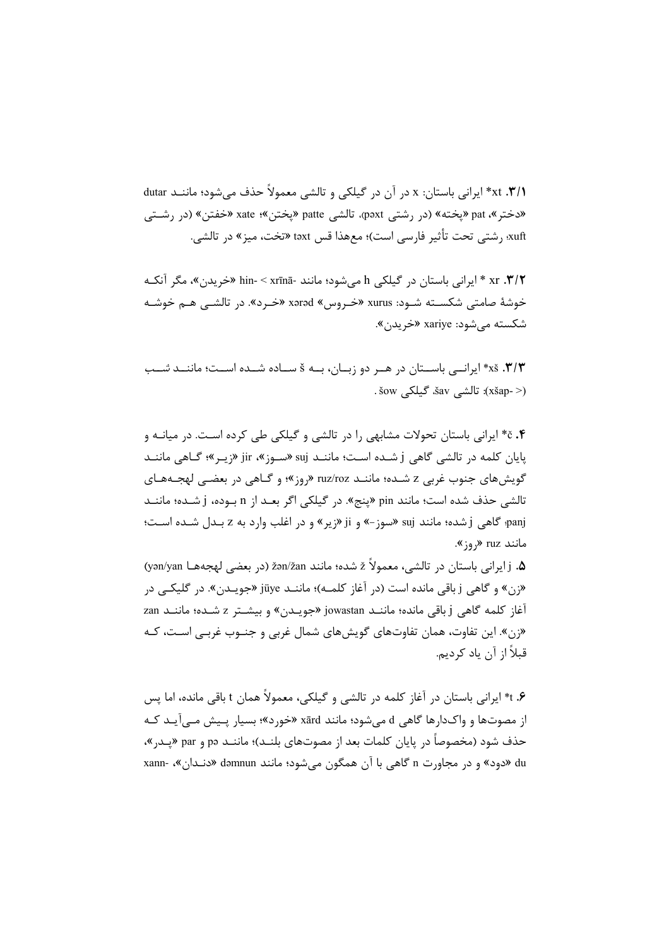xt .**۳/۱\*** ایرانی باستان: x در آن در گیلکی و تالشی معمولاً حذف میشود؛ ماننــد dutar «دختر »، pat «يخته» (در رشتي paxt»، تالشي patte «يختن»؛ xate «خفتن» (در رشـتي xuft؛ رشتي تحت تأثير فارسي است)؛ معهذا قس təxt «تخت، ميز» در تالشي.

xr .**٣/٢ \*** ايراني باستان در گيلكي h مي شود؛ مانند -hin- < xrīnā «خريدن»، مگر آنكـه خوشهٔ صامتی شکســته شــود: xurus «خــروس» xərəd «خــرد». در تالشــی هــم خوشــه شكسته مي شود: xariye «خريدن».

۰۳/۳. xš\* ایرانــی باســتان در هــر دو زبــان، بــه s ســاده شــده اســت؛ ماننــد *شــب* (< xšap): تالشي šav. گيلكي šow .

۰۴ \* ایرانی باستان تحولات مشابهی را در تالشی و گیلکی طی کرده است. در میانـه و يايان كلمه در تالشي گاهي j شـده اسـت؛ ماننـد suj «سـوز»، jir (زيـر»؛ گـاهي ماننـد گویشهای جنوب غربی z شـده؛ ماننـد ruz/roz «روز»؛ و گـاهی در بعضـی لهجـههـای تالشي حذف شده است؛ مانند pin «ينج». در گيلكي اگر بعــد از n بــوده، j شــده؛ ماننــد panj؛ گاهي j شده؛ مانند suj «سوز-» و ji «زير » و در اغلب وارد به z بـدل شـده اسـت؛ مانند ruz «,و; ».

a. j ایرانی باستان در تالشی، معمولاً ž شده؛ مانند žən/žan (در بعضی لهجههـا yən/yan) «زن» و گاهي j باقي مانده است (در آغاز كلمـه)؛ ماننــد jüye «جويــدن». در گليكــي در آغاز كلمه گاهي j باقي مانده؛ ماننـد jowastan «جويـدن» و بيشـتر z شـده؛ ماننـد zan «زن». این تفاوت، همان تفاوتهای گویشهای شمال غربی و جنـوب غربـی اسـت، کـه قبلاً از آن یاد کردیم.

۰۶ \* ایرانی باستان در آغاز کلمه در تالشی و گیلکی، معمولاً همان t باقی مانده، اما پس از مصوتها و واک\ارها گاهی d می شود؛ مانند xārd «خورد»؛ بسیار پـیش مـی آیـد کـه حذف شود (مخصوصاً در پایان کلمات بعد از مصوتهای بلنـد)؛ ماننـد pa و par «پـدر»، du «دود» و در مجاورت n گاهی با آن همگون می شود؛ مانند dəmnun «دنـدان»، -xann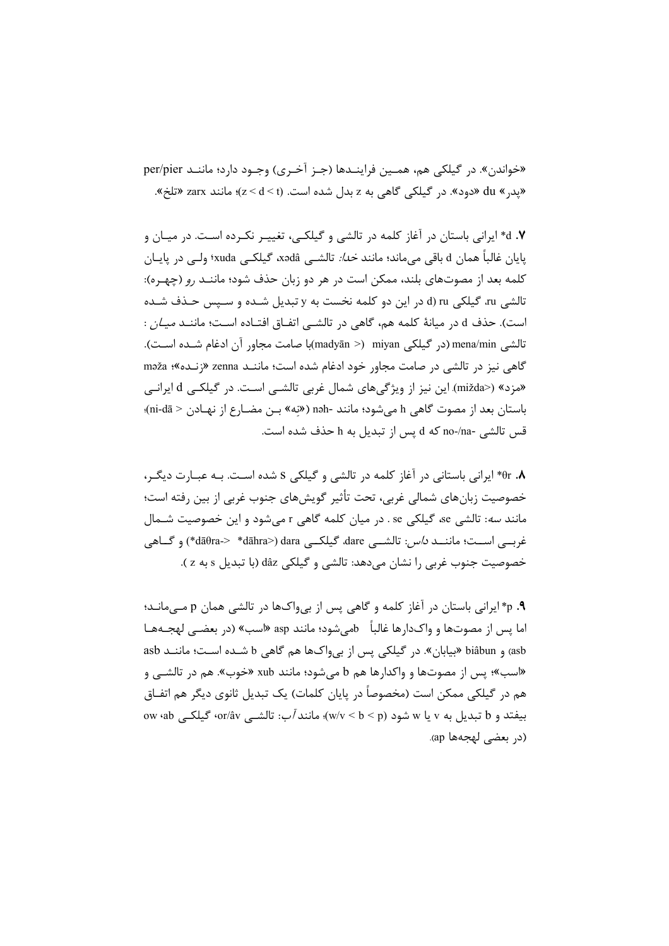«خواندن». در گیلکی هم، همـین فراینــدها (جـز آخـری) وجـود دارد؛ ماننــد per/pier «يد, » du «دود». در گيلكي گاهي به z بدل شده است. (z < d < t)؛ مانند zarx «تلخ».

۰۷ \* ایرانی باستان در آغاز کلمه در تالشی و گیلکـی، تغییـر نکـرده اسـت. در میـان و پايان غالباً همان d باقي مي،اند؛ مانند *خدا:* تالشـي xədâ، گيلكـي xuda؛ ولـي در پايــان كلمه بعد از مصوتهای بلند، ممكن است در هر دو زبان حذف شود؛ ماننـد رو (چهـره): تالشي ru، گيلكي d) ru (d در اين دو كلمه نخست به y تبديل شـده و سـيس حـذف شـده است). حذف d در میانهٔ کلمه هم، گاهی در تالشــی اتفــاق افتــاده اســت؛ ماننــد *میــان* : تالشي mena/min (در گيلكي miyan (> madyān)با صامت مجاور آن ادغام شـده اسـت). گاهی نیز در تالشی در صامت مجاور خود ادغام شده است؛ ماننـد zenna «زنـده»؛ məža «مزد» (<mižda) این نیز از ویژگیهای شمال غربی تالشـی اسـت. در گیلکـی d ایرانـی باستان بعد از مصوت گاهی h میشود؛ مانند -nəh («نه» بـن مضـارع از نهـادن < ni-dā)؛ قس تالشي -no-/na كه d پس از تبديل به h حذف شده است.

۰. ۴۵\* ایرانی باستانی در آغاز کلمه در تالشی و گیلکی S شده اسـت. بـه عبـارت دیگـر، خصوصیت زبانهای شمالی غربی، تحت تأثیر گویشهای جنوب غربی از بین رفته است؛ مانند *سه*: تالشي se، گيلكي se . در ميان كلمه گاهي r مي شود و اين خصوصيت شـمال غربي است؛ ماننــد *داس:* تالشــي dare، گيلكــي dara> (dāθra-> \*dāhra>) dara+ خصوصيت جنوب غربي را نشان مي دهد: تالشي و گيلکي dâz (با تبديل s به z ).

۹. p\* ایرانی باستان در آغاز کلمه و گاهی پس از بیeاکها در تالشی همان p مــی مانــد؛ اما پس از مصوتها و واکدارها غالباً bمیشود؛ مانند asp «اسب» (در بعضـی لهجـههـا asb) و biâbun «بيابان». در گيلكي پس از بي واكها هم گاهي b شـده اسـت؛ ماننـد asb «اسب»؛ پس از مصوتها و واكدارها هم b می شود؛ مانند xub «خوب». هم در تالشــی و هم در گیلکی ممکن است (مخصوصاً در پایان کلمات) یک تبدیل ثانوی دیگر هم اتفــاق ow (ab بیفتد و b تبدیل به v یا w شود (w/v < b < p)؛ مانند *آب*: تالشــی or/âv، گیلکــی (w · qb (در بعضي لهجهها ap).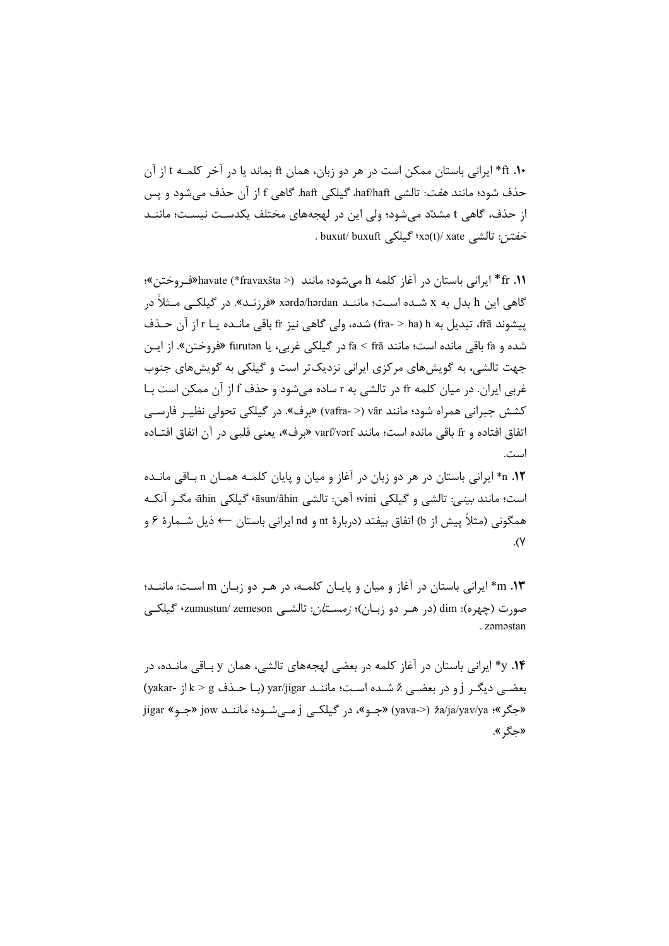•1. ft\* ایرانی باستان ممکن است در هر دو زبان، همان ft بماند یا در آخر کلمـه t از آن حذف شود؛ مانند *هفت*: تالشي haf/haft، گيلکي haft. گاهي f از آن حذف مي شود و پس از حذف، گاهی t مشدّد میشود؛ ولی این در لهجههای مختلف یکدسـت نیسـت؛ ماننـد . buxut/ buxuft گیلکی xə(t)/ xate .

fr .11\* ايراني باستان در آغاز كلمه h ميشود؛ مانند (< havate (\*fravaxšta\*) \* أيراني باستان در آغاز كلمه h مي گاهی این h بدل به x شـده اسـت؛ ماننـد xərdə/hərdan «فرزنـد». در گیلکـی مـثلاً در پیشوند frā، تبدیل به fr (fra- > ha) شده، ولی گاهی نیز fr باقی مانـده یـا r از آن حـذف شده و fa باقي مانده است؛ مانند frā < frā در گيلكي غربي، يا furutən «فروختن». از ايـن جهت تالشی، به گویشهای مرکزی ایرانی نزدیکتر است و گیلکی به گویشهای جنوب غربي ايران. در ميان كلمه fr در تالشي به r ساده مي شود و حذف f از آن ممكن است بـا كشش جبراني همراه شود؛ مانند vâfra- >) vâr (< vafra) «برف». در گيلكي تحولي نظيــر فارســي اتفاق افتاده و fr باقي مانده است؛ مانند varf/vərf «برف»، يعني قلبي در آن اتفاق افتــاده است.

n .1۲ ایرانی باستان در هر دو زبان در آغاز و میان و پایان کلمـه همـان n بـاقی مانـده است؛ مانند بيني: تالشي و گيلكي vini؛ آهن: تالشي āsun/âhin، گيلكي āhin، مگـر آنكـه همگونی (مثلاً پیش از b) اتفاق بیفتد (دربارهٔ nd و nd ایرانی باستان ← ذیل شــمارهٔ ۶ و  $\cdot$  (Y

n .**۱۳\*** ایرانی باستان در آغاز و میان و پایـان کلمـه، در هـر دو زبـان m اسـت: ماننــد؛ صورت (چهره): dim (در هـر دو زبـان)؛ *زمسـتان*: تالشــی zumustun/ zemeson، گیلکــی . zamastan

y .**۱۴** ایرانی باستان در آغاز کلمه در بعضی لهجههای تالشی، همان y بـاقی مانـده، در بعضبی دیگر j و در بعضبی ž شـده اسـت؛ ماننـد yar/jigar (بـا حـذف k > g إز -yakar) jigar «جگر»؛ ža/ja/yav/ya «جبو»، در گیلکے j مے شـود؛ ماننـد jow «جبو» jigar «جگر ».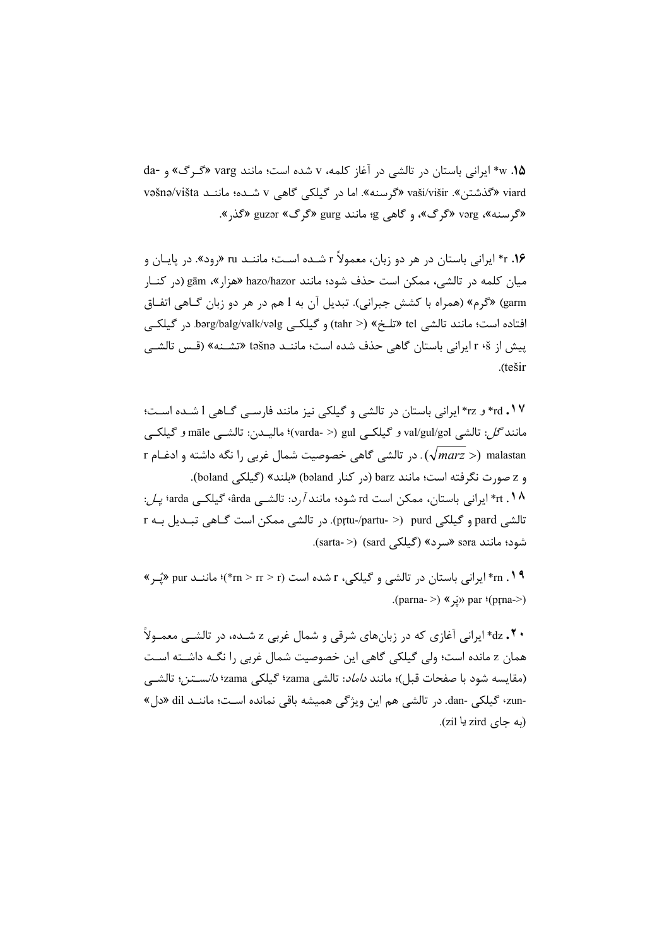w .18\* ایرانی باستان در تالشی در آغاز کلمه، v شده است؛ مانند varg «گرگ» و -da viard «گذشتن». vaši/višir «گرسنه». اما در گیلکی گاهی v شـده؛ ماننـد vəšnə/višta «گرسنه»، vərg «گرگ»، و گاهي g؛ مانند gurg «گرگ» guzər «گذر».

۰۱۶ \* ایرانی باستان در هر دو زبان، معمولاً r شـده اسـت؛ ماننـد ru «رود». در پایـان و ميان كلمه در تالشي، ممكن است حذف شود؛ مانند hazo/hazor «هزار»، gām (در كنـار garm) «گرم» (همراه با كشش جبراني). تبديل آن به 1 هم در هر دو زبان گـاهي اتفـاق افتاده است؛ مانند تالشي tel «تلخ» (< tahr) و گيلكـي bərg/balg/valk/vəlg. در گيلكـي ييش از r ٤ أيراني باستان گاهي حذف شده است؛ ماننـد təšnə «تشـنه» (قـس تالشـي .(tešir

rd . \ ۲ و rz\* ایرانی باستان در تالشی و گیلکی نیز مانند فارسے گـاهی l شـده اسـت؛ مانند *گل*: تالشي val/gul/gəl و گيلكـي (varda- >) gul)؛ ماليــدن: تالشــي māle و گيلكــي r ( $\sqrt{marg}$  ). در تالشی گاهی خصوصیت شمال غربی را نگه داشته و ادغـام r ( و z صورت نگرفته است؛ مانند barz (در كنار bəland) «بلند» (گیلكی boland). 1۸. rt\* ایرانی باستان، ممکن است rd شود؛ مانند آرد: تالشــی ârda، گیلکــی arda؛ *یـل*: تالشي pard و گيلکي ptu-/partu- >) purd). در تالشي ممکن است گـاهي تبـديل بـه r شود؛ مانند səra «سرد» (گیلکی sard) (<-sarta).

n . ۱۹\* ایرانی باستان در تالشی و گیلکی، r شده است (r = /rn > r\*)؛ ماننـد pur «یُـر » (parna->) « «يَر » par (pr̥na->)

**۰۲۰** های ایرانی آغازی که در زبانهای شرقی و شمال غربی z شـده، در تالشــی معمــولاً همان z مانده است؛ ولي گيلکي گاهي اين خصوصيت شمال غربي را نگــه داشــته اســت (مقايسه شود با صفحات قبل)؛ مانند *داماد*: تالشي zama؛ گيلكي zama؛ *دانســتن*؛ تالشــي -zun؛ گیلکی -dan. در تالشی هم این ویژگی همیشه باقی نمانده است؛ ماننـد dil «دل» (په جای zird یا zil).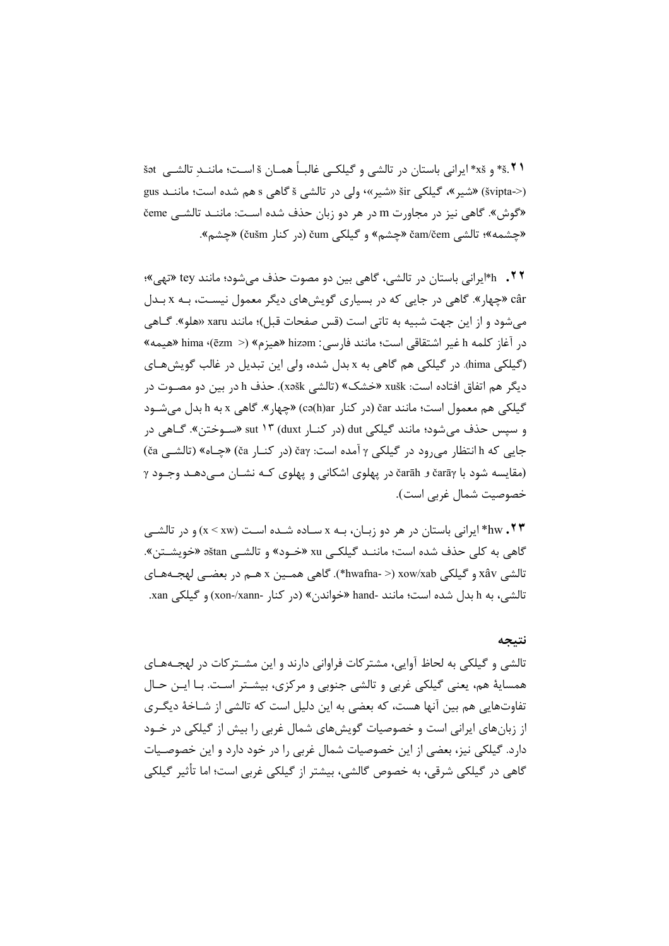\* \*.\*\* و xš\* ايراني باستان در تالشي و گيلكـي غالبـاً همــان š اســت؛ ماننــد تالشــي set (<-švipta) «شير»، گيلكى šir «شير»، ولي در تالشي š گاهي s هم شده است؛ ماننـد gus «گوش». گاهی نیز در مجاورت m در هر دو زبان حذف شده است: ماننـد تالشـی čeme «چشمه»؛ تالشي čam/čem «چشم» و گیلکی čum (در کنار čušm) «چشم».

۰۲۲ . ۴۱ پرانی باستان در تالشی، گاهی بین دو مصوت حذف می شود؛ مانند tey «تهی»؛ câr «چهار». گاهی در جایی که در بسیاری گویشهای دیگر معمول نیست، بـه x بـدل میشود و از این جهت شبیه به تاتی است (قس صفحات قبل)؛ مانند xaru «هلو». گـاهی در آغاز كلمه h غير اشتقاقي است؛ مانند فارسي: hizəm «هيزم» (< hima «(ēzm «هيمه» (گیلکی hima). در گیلکی هم گاهی به x بدل شده، ولی این تبدیل در غالب گویشهای ديگر هم اتفاق افتاده است: xušk «خشک» (تالشي xəšk). حذف h در بين دو مصـوت در گیلکی هم معمول است؛ مانند čar (در کنار cə(h)ar) «چهار». گاهی x به h بدل می شـود و سپس حذف میشود؛ مانند گیلکی dut (در کنــار duxt (۱۳ (duxt «ســوختن». گــاهی در جایی که h انتظار می رود در گیلکی γ آمده است: čaγ (در کنـار ča) «چـاه» (تالشـی ča) (مقایسه شود با čarāγ و čarāh در یهلوی اشکانی و یهلوی کـه نشـان مـی دهـد وجـود γ خصوصيت شمال غربي است).

\*bw . ٢٣\* ايراني باستان در هر دو زبـان، بـه x سـاده شـده اسـت (x < xw) و در تالشـي گاهي به كلي حذف شده است؛ ماننـد گيلكـي xu «خـود» و تالشـي aštan «خويشـتن». تالشي xâv و گيلکي xow/xab (< -hwafna\*). گاهي همـين x هـم در بعضـي لهجـههـاي تالشي، به h بدل شده است؛ مانند -hand «خواندن» (در كنار -xon-/xann) و گیلكي xan.

#### نتيجه

تالشي و گيلکي به لحاظ آوايي، مشترکات فراواني دارند و اين مشــترکات در لهجــههــاي همسايهٔ هم، يعني گيلکي غربي و تالشي جنوبي و مرکزي، بيشـتر اسـت. بـا ايـن حـال تفاوتهایی هم بین آنها هست، که بعضی به این دلیل است که تالشی از شـاخهٔ دیگـری از زبانهای ایرانی است و خصوصیات گویشهای شمال غربی را بیش از گیلکی در خـود دارد. گیلکی نیز، بعضی از این خصوصیات شمال غربی را در خود دارد و این خصوصـیات گاهی در گیلکی شرقی، به خصوص گالشی، بیشتر از گیلکی غربی است؛ اما تأثیر گیلکی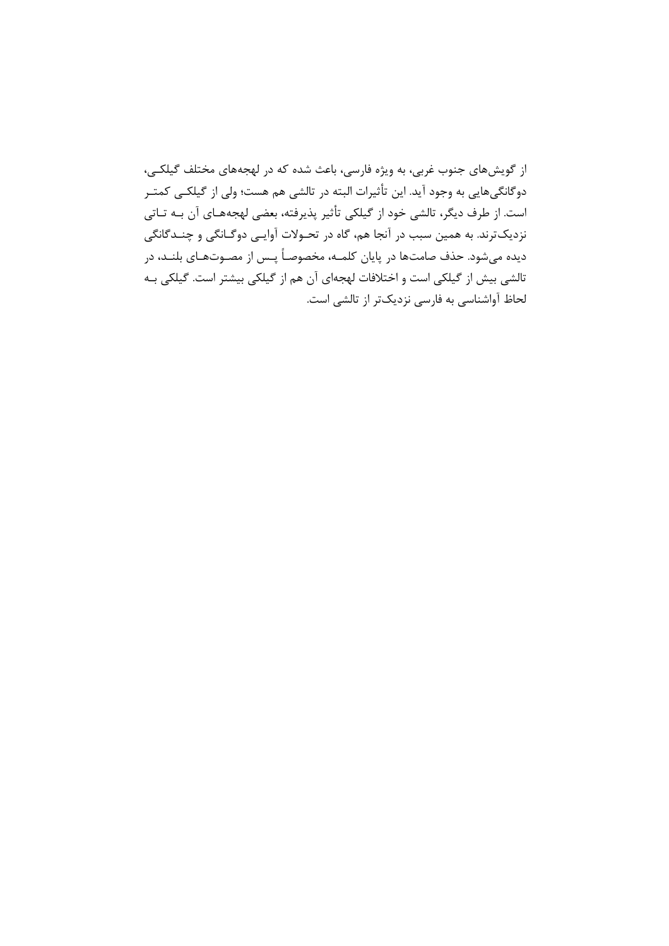از گویشهای جنوب غربی، به ویژه فارسی، باعث شده که در لهجههای مختلف گیلکـی، دوگانگیهایی به وجود آید. این تأثیرات البته در تالشی هم هست؛ ولی از گیلکـی کمتـر است. از طرف دیگر، تالشی خود از گیلکی تأثیر پذیرفته، بعضی لهجههـای آن بـه تـاتی نزدیکترند. به همین سبب در آنجا هم، گاه در تحـولات آوایـی دوگـانگی و چنــدگانگی دیده میشود. حذف صامتها در پایان کلمـه، مخصوصـاً پـس از مصـوتهـای بلنـد، در تالشي بيش از گيلكي است و اختلافات لهجهاي آن هم از گيلكي بيشتر است. گيلكي بـه لحاظ آواشناسی به فارسی نزدیکتر از تالشی است.